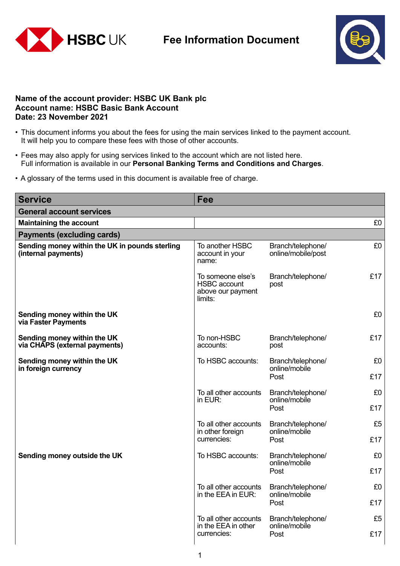

## **Fee Information Document**



## **Name of the account provider: HSBC UK Bank plc Account name: HSBC Basic Bank Account Date: 23 November 2021**

- This document informs you about the fees for using the main services linked to the payment account. It will help you to compare these fees with those of other accounts.
- Fees may also apply for using services linked to the account which are not listed here. Full information is available in our **Personal Banking Terms and Conditions and Charges**.
- A glossary of the terms used in this document is available free of charge.

| <b>Service</b>                                                        | Fee                                                                      |                                            |     |
|-----------------------------------------------------------------------|--------------------------------------------------------------------------|--------------------------------------------|-----|
| <b>General account services</b>                                       |                                                                          |                                            |     |
| <b>Maintaining the account</b>                                        |                                                                          |                                            | £0  |
| <b>Payments (excluding cards)</b>                                     |                                                                          |                                            |     |
| Sending money within the UK in pounds sterling<br>(internal payments) | To another HSBC<br>account in your<br>name:                              | Branch/telephone/<br>online/mobile/post    | £0  |
|                                                                       | To someone else's<br><b>HSBC</b> account<br>above our payment<br>limits: | Branch/telephone/<br>post                  | £17 |
| Sending money within the UK<br>via Faster Payments                    |                                                                          |                                            | £0  |
| Sending money within the UK<br>via CHAPS (external payments)          | To non-HSBC<br>accounts:                                                 | Branch/telephone/<br>post                  | £17 |
| Sending money within the UK<br>in foreign currency                    | To HSBC accounts:                                                        | Branch/telephone/<br>online/mobile<br>Post | £0  |
|                                                                       |                                                                          |                                            | £17 |
|                                                                       | To all other accounts<br>in EUR:                                         | Branch/telephone/<br>online/mobile<br>Post | £0  |
|                                                                       |                                                                          |                                            | £17 |
|                                                                       | To all other accounts<br>in other foreign<br>currencies:                 | Branch/telephone/<br>online/mobile<br>Post | £5  |
|                                                                       |                                                                          |                                            | £17 |
| Sending money outside the UK                                          | To HSBC accounts:                                                        | Branch/telephone/<br>online/mobile<br>Post | £0  |
|                                                                       |                                                                          |                                            | £17 |
|                                                                       | To all other accounts                                                    | Branch/telephone/                          | £0  |
|                                                                       | in the EEA in EUR:                                                       | online/mobile<br>Post                      | £17 |
|                                                                       | To all other accounts                                                    | Branch/telephone/                          | £5  |
|                                                                       | in the EEA in other<br>currencies:                                       | online/mobile<br>Post                      | £17 |